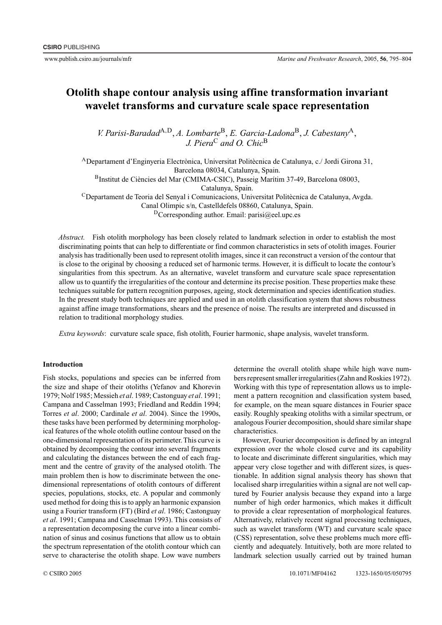# **Otolith shape contour analysis using affine transformation invariant wavelet transforms and curvature scale space representation**

*V. Parisi-Baradad*A*,*D, *A. Lombarte*B, *E. Garcia-Ladona*B, *J. Cabestany*A, *J. Piera*<sup>C</sup> *and O. Chic*<sup>B</sup>

ADepartament d'Enginyeria Electrònica, Universitat Politècnica de Catalunya, c./ Jordi Girona 31, Barcelona 08034, Catalunya, Spain. BInstitut de Ciències del Mar (CMIMA-CSIC), Passeig Marítim 37-49, Barcelona 08003, Catalunya, Spain. CDepartament de Teoria del Senyal i Comunicacions, Universitat Politècnica de Catalunya, Avgda. Canal Olimpic s/n, Castelldefels 08860, Catalunya, Spain.

 $D$ Corresponding author. Email: parisi@eel.upc.es

*Abstract.* Fish otolith morphology has been closely related to landmark selection in order to establish the most discriminating points that can help to differentiate or find common characteristics in sets of otolith images. Fourier analysis has traditionally been used to represent otolith images, since it can reconstruct a version of the contour that is close to the original by choosing a reduced set of harmonic terms. However, it is difficult to locate the contour's singularities from this spectrum. As an alternative, wavelet transform and curvature scale space representation allow us to quantify the irregularities of the contour and determine its precise position. These properties make these techniques suitable for pattern recognition purposes, ageing, stock determination and species identification studies. In the present study both techniques are applied and used in an otolith classification system that shows robustness against affine image transformations, shears and the presence of noise. The results are interpreted and discussed in relation to traditional morphology studies.

*Extra keywords*: curvature scale space, fish otolith, Fourier harmonic, shape analysis, wavelet transform.

## **Introduction**

Fish stocks, populations and species can be inferred from the size and shape of their otoliths (Yefanov and Khorevin 1979; Nolf 1985; Messieh *et al*. 1989; Castonguay *et al*. 1991; Campana and Casselman 1993; Friedland and Reddin 1994; Torres *et al*. 2000; Cardinale *et al*. 2004). Since the 1990s, these tasks have been performed by determining morphological features of the whole otolith outline contour based on the one-dimensional representation of its perimeter. This curve is obtained by decomposing the contour into several fragments and calculating the distances between the end of each fragment and the centre of gravity of the analysed otolith. The main problem then is how to discriminate between the onedimensional representations of otolith contours of different species, populations, stocks, etc. A popular and commonly used method for doing this is to apply an harmonic expansion using a Fourier transform (FT) (Bird *et al*. 1986; Castonguay *et al*. 1991; Campana and Casselman 1993). This consists of a representation decomposing the curve into a linear combination of sinus and cosinus functions that allow us to obtain the spectrum representation of the otolith contour which can serve to characterise the otolith shape. Low wave numbers

determine the overall otolith shape while high wave numbers represent smaller irregularities (Zahn and Roskies 1972). Working with this type of representation allows us to implement a pattern recognition and classification system based, for example, on the mean square distances in Fourier space easily. Roughly speaking otoliths with a similar spectrum, or analogous Fourier decomposition, should share similar shape characteristics.

However, Fourier decomposition is defined by an integral expression over the whole closed curve and its capability to locate and discriminate different singularities, which may appear very close together and with different sizes, is questionable. In addition signal analysis theory has shown that localised sharp irregularities within a signal are not well captured by Fourier analysis because they expand into a large number of high order harmonics, which makes it difficult to provide a clear representation of morphological features. Alternatively, relatively recent signal processing techniques, such as wavelet transform (WT) and curvature scale space (CSS) representation, solve these problems much more efficiently and adequately. Intuitively, both are more related to landmark selection usually carried out by trained human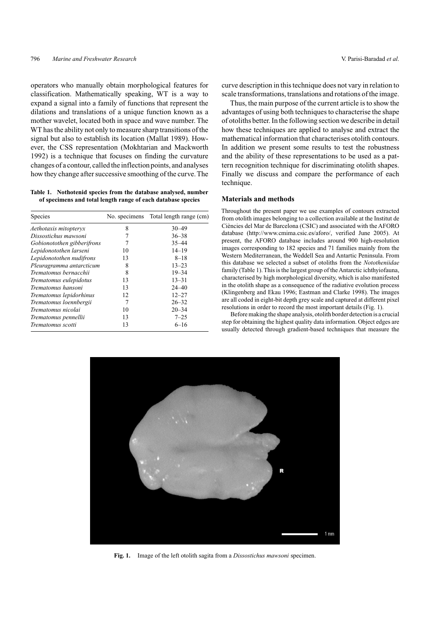operators who manually obtain morphological features for classification. Mathematically speaking, WT is a way to expand a signal into a family of functions that represent the dilations and translations of a unique function known as a mother wavelet, located both in space and wave number. The WT has the ability not only to measure sharp transitions of the signal but also to establish its location (Mallat 1989). However, the CSS representation (Mokhtarian and Mackworth 1992) is a technique that focuses on finding the curvature changes of a contour, called the inflection points, and analyses how they change after successive smoothing of the curve.The

**Table 1. Nothotenid species from the database analysed, number of specimens and total length range of each database species**

| Species                    |    | No. specimens Total length range (cm) |
|----------------------------|----|---------------------------------------|
| Aethotaxis mitopteryx      | 8  | $30 - 49$                             |
| Dissostichus mawsoni       | 7  | $36 - 38$                             |
| Gobionotothen gibberifrons |    | $35 - 44$                             |
| Lepidonotothen larseni     | 10 | $14 - 19$                             |
| Lepidonotothen nudifrons   | 13 | $8 - 18$                              |
| Pleuragramma antarcticum   | 8  | $13 - 23$                             |
| Trematomus bernacchii      | 8  | $19 - 34$                             |
| Trematomus eulepidotus     | 13 | $13 - 31$                             |
| Trematomus hansoni         | 13 | $24 - 40$                             |
| Trematomus lepidorhinus    | 12 | $12 - 27$                             |
| Trematomus loennbergii     | 7  | $26 - 32$                             |
| Trematomus nicolai         | 10 | $20 - 34$                             |
| Trematomus pennellii       | 13 | $7 - 25$                              |
| Trematomus scotti          | 13 | $6 - 16$                              |

curve description in this technique does not vary in relation to scale transformations, translations and rotations of the image.

Thus, the main purpose of the current article is to show the advantages of using both techniques to characterise the shape of otoliths better. In the following section we describe in detail how these techniques are applied to analyse and extract the mathematical information that characterises otolith contours. In addition we present some results to test the robustness and the ability of these representations to be used as a pattern recognition technique for discriminating otolith shapes. Finally we discuss and compare the performance of each technique.

## **Materials and methods**

Throughout the present paper we use examples of contours extracted from otolith images belonging to a collection available at the Institut de Ciències del Mar de Barcelona (CSIC) and associated with the AFORO database (http://www.cmima.csic.es/aforo/, verified June 2005). At present, the AFORO database includes around 900 high-resolution images corresponding to 182 species and 71 families mainly from the Western Mediterranean, the Weddell Sea and Antartic Peninsula. From this database we selected a subset of otoliths from the *Nototheniidae* family (Table 1). This is the largest group of the Antarctic ichthyiofauna, characterised by high morphological diversity, which is also manifested in the otolith shape as a consequence of the radiative evolution process (Klingenberg and Ekau 1996; Eastman and Clarke 1998). The images are all coded in eight-bit depth grey scale and captured at different pixel resolutions in order to record the most important details (Fig. 1).

Before making the shape analysis, otolith border detection is a crucial step for obtaining the highest quality data information. Object edges are usually detected through gradient-based techniques that measure the



**Fig. 1.** Image of the left otolith sagita from a *Dissostichus mawsoni* specimen.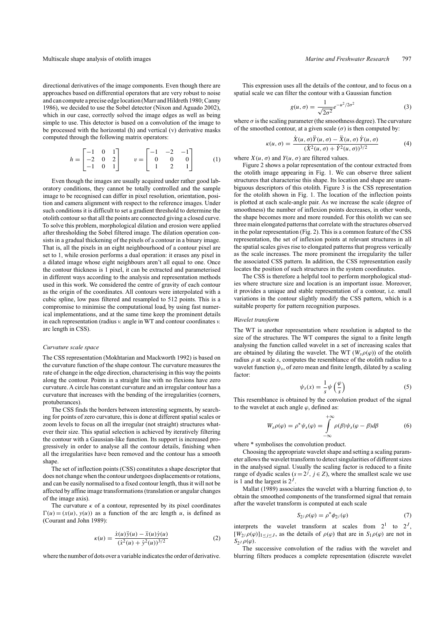directional derivatives of the image components. Even though there are approaches based on differential operators that are very robust to noise and can compute a precise edge location (Marr and Hildreth 1980; Canny 1986), we decided to use the Sobel detector (Nixon and Aguado 2002), which in our case, correctly solved the image edges as well as being simple to use. This detector is based on a convolution of the image to be processed with the horizontal (h) and vertical (v) derivative masks computed through the following matrix operators:

$$
h = \begin{bmatrix} -1 & 0 & 1 \\ -2 & 0 & 2 \\ -1 & 0 & 1 \end{bmatrix} \qquad v = \begin{bmatrix} -1 & -2 & -1 \\ 0 & 0 & 0 \\ 1 & 2 & 1 \end{bmatrix} \tag{1}
$$

Even though the images are usually acquired under rather good laboratory conditions, they cannot be totally controlled and the sample image to be recognised can differ in pixel resolution, orientation, position and camera alignment with respect to the reference images. Under such conditions it is difficult to set a gradient threshold to determine the otolith contour so that all the points are connected giving a closed curve. To solve this problem, morphological dilation and erosion were applied after thresholding the Sobel filtered image. The dilation operation consists in a gradual thickening of the pixels of a contour in a binary image. That is, all the pixels in an eight neighbourhood of a contour pixel are set to 1, while erosion performs a dual operation: it erases any pixel in a dilated image whose eight neighbours aren't all equal to one. Once the contour thickness is 1 pixel, it can be extracted and parameterised in different ways according to the analysis and representation methods used in this work. We considered the centre of gravity of each contour as the origin of the coordinates. All contours were interpolated with a cubic spline, low pass filtered and resampled to 512 points. This is a compromise to minimise the computational load, by using fast numerical implementations, and at the same time keep the prominent details in each representation (radius *v.* angle in WT and contour coordinates *v.* arc length in CSS).

### *Curvature scale space*

The CSS representation (Mokhtarian and Mackworth 1992) is based on the curvature function of the shape contour. The curvature measures the rate of change in the edge direction, characterising in this way the points along the contour. Points in a straight line with no flexions have zero curvature. A circle has constant curvature and an irregular contour has a curvature that increases with the bending of the irregularities (corners, protuberances).

The CSS finds the borders between interesting segments, by searching for points of zero curvature, this is done at different spatial scales or zoom levels to focus on all the irregular (not straight) structures whatever their size. This spatial selection is achieved by iteratively filtering the contour with a Gaussian-like function. Its support is increased progressively in order to analyse all the contour details, finishing when all the irregularities have been removed and the contour has a smooth shape.

The set of inflection points (CSS) constitutes a shape descriptor that does not change when the contour undergoes displacements or rotations, and can be easily normalised to a fixed contour length, thus it will not be affected by affine image transformations (translation or angular changes of the image axis).

The curvature  $\kappa$  of a contour, represented by its pixel coordinates  $\Gamma(u) = (x(u), y(u))$  as a function of the arc length *u*, is defined as (Courant and John 1989):

$$
\kappa(u) = \frac{\dot{x}(u)\ddot{y}(u) - \ddot{x}(u)\dot{y}(u)}{(\dot{x}^2(u) + \dot{y}^2(u))^{3/2}}
$$
(2)

where the number of dots over a variable indicates the order of derivative.

This expression uses all the details of the contour, and to focus on a spatial scale we can filter the contour with a Gaussian function

$$
g(u,\sigma) = \frac{1}{\sqrt{2\sigma^2}} e^{-u^2/2\sigma^2}
$$
 (3)

where  $\sigma$  is the scaling parameter (the smoothness degree). The curvature of the smoothed contour, at a given scale  $(\sigma)$  is then computed by:

$$
\kappa(u,\sigma) = \frac{\dot{X}(u,\sigma)\ddot{Y}(u,\sigma) - \ddot{X}(u,\sigma)\dot{Y}(u,\sigma)}{(\dot{X}^2(u,\sigma) + \dot{Y}^2(u,\sigma))^{3/2}}
$$
(4)

where  $X(u, \sigma)$  and  $Y(u, \sigma)$  are filtered values.

Figure 2 shows a polar representation of the contour extracted from the otolith image appearing in Fig. 1. We can observe three salient structures that characterise this shape. Its location and shape are unambiguous descriptors of this otolith. Figure 3 is the CSS representation for the otolith shown in Fig. 1. The location of the inflection points is plotted at each scale-angle pair. As we increase the scale (degree of smoothness) the number of inflexion points decreases, in other words, the shape becomes more and more rounded. For this otolith we can see three main elongated patterns that correlate with the structures observed in the polar representation (Fig. 2). This is a common feature of the CSS representation, the set of inflexion points at relevant structures in all the spatial scales gives rise to elongated patterns that progress vertically as the scale increases. The more prominent the irregularity the taller the associated CSS pattern. In addition, the CSS representation easily locates the position of such structures in the system coordinates.

The CSS is therefore a helpful tool to perform morphological studies where structure size and location is an important issue. Moreover, it provides a unique and stable representation of a contour, i.e. small variations in the contour slightly modify the CSS pattern, which is a suitable property for pattern recognition purposes.

#### *Wavelet transform*

The WT is another representation where resolution is adapted to the size of the structures. The WT compares the signal to a finite length analysing the function called wavelet in a set of increasing scales that are obtained by dilating the wavelet. The WT  $(W_s \rho(\varphi))$  of the otolith radius  $\rho$  at scale  $s$ , computes the resemblance of the otolith radius to a wavelet function  $\psi_s$ , of zero mean and finite length, dilated by a scaling factor:

$$
\psi_s(x) = \frac{1}{s} \psi\left(\frac{\varphi}{s}\right) \tag{5}
$$

This resemblance is obtained by the convolution product of the signal to the wavelet at each angle *ϕ*, defined as:

$$
W_s \rho(\varphi) = \rho^* \psi_s(\varphi) = \int_{-\infty}^{+\infty} \rho(\beta) \psi_s(\varphi - \beta) d\beta \tag{6}
$$

where  $*$  symbolises the convolution product.

Choosing the appropriate wavelet shape and setting a scaling parameter allows the wavelet transform to detect singularities of different sizes in the analysed signal. Usually the scaling factor is reduced to a finite range of dyadic scales ( $s = 2^j$ ,  $j \in Z$ ), where the smallest scale we use is 1 and the largest is 2*<sup>J</sup>* .

Mallat (1989) associates the wavelet with a blurring function  $\phi$ , to obtain the smoothed components of the transformed signal that remain after the wavelet transform is computed at each scale

$$
S_{2j}\rho(\varphi) = \rho^* \phi_{2j}(\varphi) \tag{7}
$$

interprets the wavelet transform at scales from  $2^1$  to  $2^J$ ,  $[W_2j \rho(\varphi)]_{1 \leq j \leq J}$ , as the details of  $\rho(\varphi)$  that are in  $S_1 \rho(\varphi)$  are not in  $S_2$ *J*  $\rho(\varphi)$ .

The successive convolution of the radius with the wavelet and blurring filters produces a complete representation (discrete wavelet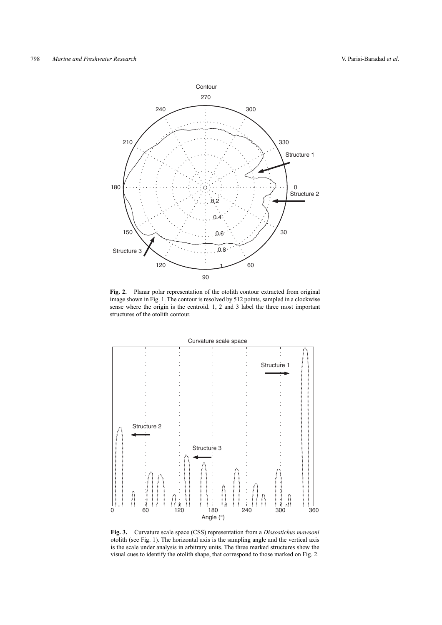

**Fig. 2.** Planar polar representation of the otolith contour extracted from original image shown in Fig. 1. The contour is resolved by 512 points, sampled in a clockwise sense where the origin is the centroid. 1, 2 and 3 label the three most important structures of the otolith contour.



**Fig. 3.** Curvature scale space (CSS) representation from a *Dissostichus mawsoni* otolith (see Fig. 1). The horizontal axis is the sampling angle and the vertical axis is the scale under analysis in arbitrary units. The three marked structures show the visual cues to identify the otolith shape, that correspond to those marked on Fig. 2.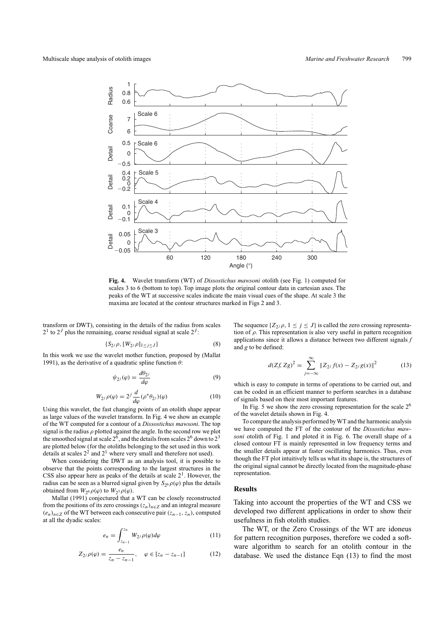

**Fig. 4.** Wavelet transform (WT) of *Dissostichus mawsoni* otolith (see Fig. 1) computed for scales 3 to 6 (bottom to top). Top image plots the original contour data in cartesian axes. The peaks of the WT at successive scales indicate the main visual cues of the shape. At scale 3 the maxima are located at the contour structures marked in Figs 2 and 3.

transform or DWT), consisting in the details of the radius from scales  $2<sup>1</sup>$  to  $2<sup>J</sup>$  plus the remaining, coarse residual signal at scale  $2<sup>J</sup>$ :

$$
\{S_{2^j}\rho, [W_{2^j}\rho]_{1 \le j \le J}\}\tag{8}
$$

In this work we use the wavelet mother function, proposed by (Mallat 1991), as the derivative of a quadratic spline function *θ*:

$$
\psi_{2i}(\varphi) = \frac{d\theta_{2i}}{d\varphi} \tag{9}
$$

$$
W_{2j}\rho(\varphi) = 2^j \frac{d}{d\varphi} (\rho^* \theta_{2j})(\varphi)
$$
 (10)

Using this wavelet, the fast changing points of an otolith shape appear as large values of the wavelet transform. In Fig. 4 we show an example of the WT computed for a contour of a *Dissostichus mawsoni*. The top signal is the radius *ρ* plotted against the angle. In the second row we plot the smoothed signal at scale  $2^6$ , and the details from scales  $2^6$  down to  $2^3$ are plotted below (for the otoliths belonging to the set used in this work details at scales  $2<sup>2</sup>$  and  $2<sup>1</sup>$  where very small and therefore not used).

When considering the DWT as an analysis tool, it is possible to observe that the points corresponding to the largest structures in the CSS also appear here as peaks of the details at scale  $2<sup>1</sup>$ . However, the radius can be seen as a blurred signal given by  $S_{26} \rho(\varphi)$  plus the details obtained from  $W_2 \circ \rho(\varphi)$  to  $W_2 \circ \rho(\varphi)$ .

Mallat (1991) conjectured that a WT can be closely reconstructed from the positions of its zero crossings  $(z_n)_{n \in \mathbb{Z}}$  and an integral measure  $(e_n)_{n \in \mathbb{Z}}$  of the WT between each consecutive pair  $(z_{n-1}, z_n)$ , computed at all the dyadic scales:

$$
e_n = \int_{z_{n-1}}^{z_n} W_{2^j} \rho(\varphi) d\varphi \tag{11}
$$

$$
Z_{2^{j}}\rho(\varphi) = \frac{e_{n}}{z_{n} - z_{n-1}}, \quad \varphi \in [z_{n} - z_{n-1}]
$$
 (12)

The sequence  $\{Z_{2j}\rho, 1 \leq j \leq J\}$  is called the zero crossing representation of *ρ*. This representation is also very useful in pattern recognition applications since it allows a distance between two different signals *f* and *g* to be defined:

$$
d(Zf, Zg)^2 = \sum_{j=-\infty}^{\infty} \|Z_{2j} f(x) - Z_{2j} g(x)\|^2
$$
 (13)

which is easy to compute in terms of operations to be carried out, and can be coded in an efficient manner to perform searches in a database of signals based on their most important features.

In Fig. 5 we show the zero crossing representation for the scale  $2<sup>6</sup>$ of the wavelet details shown in Fig. 4.

To compare the analysis performed by WT and the harmonic analysis we have computed the FT of the contour of the *Dissostichus mawsoni* otolith of Fig. 1 and ploted it in Fig. 6. The overall shape of a closed contour FT is mainly represented in low frequency terms and the smaller details appear at faster oscillating harmonics. Thus, even though the FT plot intuitively tells us what its shape is, the structures of the original signal cannot be directly located from the magnitude-phase representation.

## **Results**

Taking into account the properties of the WT and CSS we developed two different applications in order to show their usefulness in fish otolith studies.

The WT, or the Zero Crossings of the WT are idoneus for pattern recognition purposes, therefore we coded a software algorithm to search for an otolith contour in the database. We used the distance Eqn (13) to find the most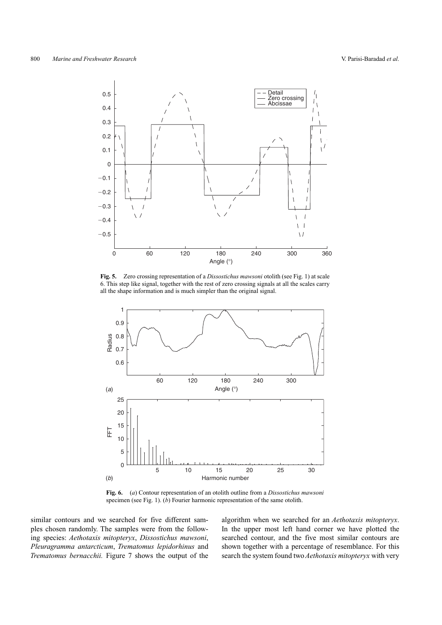

**Fig. 5.** Zero crossing representation of a *Dissostichus mawsoni* otolith (see Fig. 1) at scale 6. This step like signal, together with the rest of zero crossing signals at all the scales carry all the shape information and is much simpler than the original signal.



**Fig. 6.** (*a*) Contour representation of an otolith outline from a *Dissostichus mawsoni* specimen (see Fig. 1). (*b*) Fourier harmonic representation of the same otolith.

similar contours and we searched for five different samples chosen randomly. The samples were from the following species: *Aethotaxis mitopteryx*, *Dissostichus mawsoni*, *Pleuragramma antarcticum*, *Trematomus lepidorhinus* and *Trematomus bernacchii.* Figure 7 shows the output of the algorithm when we searched for an *Aethotaxis mitopteryx*. In the upper most left hand corner we have plotted the searched contour, and the five most similar contours are shown together with a percentage of resemblance. For this search the system found two*Aethotaxis mitopteryx* with very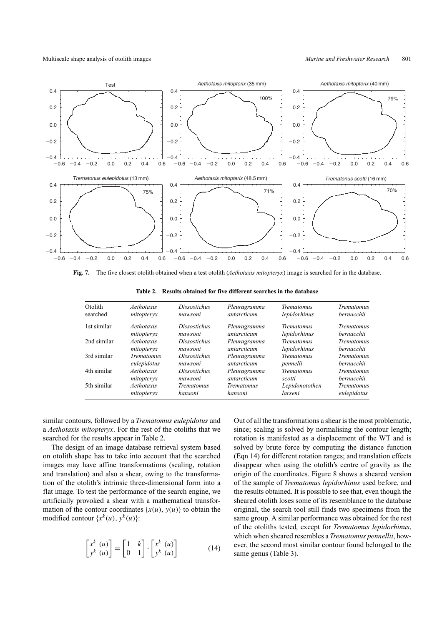

**Fig. 7.** The five closest otolith obtained when a test otolith (*Aethotaxis mitopteryx*) image is searched for in the database.

| Otolith     | Aethotaxis        | <b>Dissostichus</b> | Pleuragramma      | <b>Trematomus</b> | <b>Trematomus</b> |
|-------------|-------------------|---------------------|-------------------|-------------------|-------------------|
| searched    | mitopteryx        | mawsoni             | antarcticum       | lepidorhinus      | bernacchii        |
| 1st similar | Aethotaxis        | <b>Dissostichus</b> | Pleuragramma      | <b>Trematomus</b> | <b>Trematomus</b> |
|             | mitopteryx        | mawsoni             | antarcticum       | lepidorhinus      | hernacchii        |
| 2nd similar | Aethotaxis        | <i>Dissostichus</i> | Pleuragramma      | <b>Trematomus</b> | <b>Trematomus</b> |
|             | mitopteryx        | mawsoni             | antarcticum       | lepidorhinus      | hernacchii        |
| 3rd similar | <b>Trematomus</b> | <b>Dissostichus</b> | Pleuragramma      | <b>Trematomus</b> | <b>Trematomus</b> |
|             | eulepidotus       | mawsoni             | antarcticum       | pennelli          | bernacchii        |
| 4th similar | Aethotaxis        | <i>Dissostichus</i> | Pleuragramma      | <b>Trematomus</b> | <b>Trematomus</b> |
|             | mitopteryx        | mawsoni             | antarcticum       | scotti            | hernacchii        |
| 5th similar | Aethotaxis        | <b>Trematomus</b>   | <b>Trematomus</b> | Lepidonotothen    | <b>Trematomus</b> |
|             | mitopteryx        | hansoni             | hansoni           | larseni           | eulepidotus       |

**Table 2. Results obtained for five different searches in the database**

similar contours, followed by a *Trematomus eulepidotus* and a *Aethotaxis mitopteryx*. For the rest of the otoliths that we searched for the results appear in Table 2.

The design of an image database retrieval system based on otolith shape has to take into account that the searched images may have affine transformations (scaling, rotation and translation) and also a shear, owing to the transformation of the otolith's intrinsic three-dimensional form into a flat image. To test the performance of the search engine, we artificially provoked a shear with a mathematical transformation of the contour coordinates  $\{x(u), y(u)\}$  to obtain the modified contour  $\{x^k(u), y^k(u)\}$ :

$$
\begin{bmatrix} x^k & (u) \\ y^k & (u) \end{bmatrix} = \begin{bmatrix} 1 & k \\ 0 & 1 \end{bmatrix} \cdot \begin{bmatrix} x^k & (u) \\ y^k & (u) \end{bmatrix}
$$
 (14)

Out of all the transformations a shear is the most problematic, since; scaling is solved by normalising the contour length; rotation is manifested as a displacement of the WT and is solved by brute force by computing the distance function (Eqn 14) for different rotation ranges; and translation effects disappear when using the otolith's centre of gravity as the origin of the coordinates. Figure 8 shows a sheared version of the sample of *Trematomus lepidorhinus* used before, and the results obtained. It is possible to see that, even though the sheared otolith loses some of its resemblance to the database original, the search tool still finds two specimens from the same group. A similar performance was obtained for the rest of the otoliths tested, except for *Trematomus lepidorhinus*, which when sheared resembles a*Trematomus pennellii*, however, the second most similar contour found belonged to the same genus (Table 3).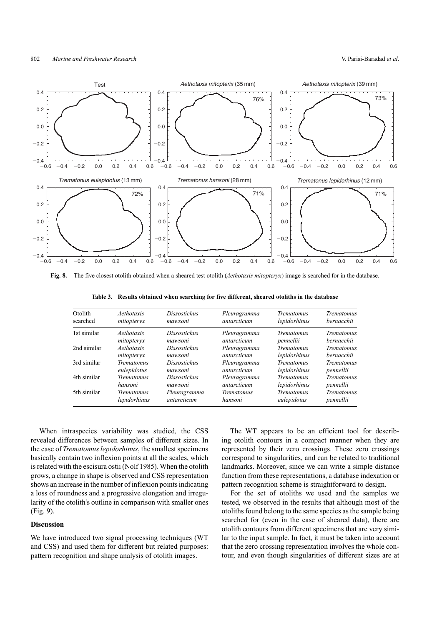

**Fig. 8.** The five closest otolith obtained when a sheared test otolith (*Aethotaxis mitopteryx*) image is searched for in the database.

**Table 3. Results obtained when searching for five different, sheared otoliths in the database**

| Otolith     | Aethotaxis        | <b>Dissostichus</b> | Pleuragramma      | <b>Trematomus</b> | <b>Trematomus</b> |
|-------------|-------------------|---------------------|-------------------|-------------------|-------------------|
| searched    | mitopteryx        | mawsoni             | antarcticum       | lepidorhinus      | bernacchii        |
| 1st similar | Aethotaxis        | Dissostichus        | Pleuragramma      | Trematomus        | <b>Trematomus</b> |
|             | mitopteryx        | mawsoni             | antarcticum       | pennellii         | bernacchii        |
| 2nd similar | Aethotaxis        | Dissostichus        | Pleuragramma      | <b>Trematomus</b> | <b>Trematomus</b> |
|             | mitopteryx        | mawsoni             | antarcticum       | lepidorhinus      | bernacchii        |
| 3rd similar | <b>Trematomus</b> | Dissostichus        | Pleuragramma      | <b>Trematomus</b> | <b>Trematomus</b> |
|             | eulepidotus       | mawsoni             | antarcticum       | lepidorhinus      | pennellii         |
| 4th similar | <b>Trematomus</b> | <i>Dissostichus</i> | Pleuragramma      | <b>Trematomus</b> | <b>Trematomus</b> |
|             | hansoni           | mawsoni             | antarcticum       | lepidorhinus      | pennellii         |
| 5th similar | <i>Trematomus</i> | Pleuragramma        | <b>Trematomus</b> | <b>Trematomus</b> | Trematomus        |
|             | lepidorhinus      | antarcticum         | hansoni           | eulepidotus       | pennellii         |

When intraspecies variability was studied, the CSS revealed differences between samples of different sizes. In the case of *Trematomus lepidorhinus*, the smallest specimens basically contain two inflexion points at all the scales, which is related with the escisura ostii (Nolf 1985). When the otolith grows, a change in shape is observed and CSS representation shows an increase in the number of inflexion points indicating a loss of roundness and a progressive elongation and irregularity of the otolith's outline in comparison with smaller ones (Fig. 9).

## **Discussion**

We have introduced two signal processing techniques (WT and CSS) and used them for different but related purposes: pattern recognition and shape analysis of otolith images.

The WT appears to be an efficient tool for describing otolith contours in a compact manner when they are represented by their zero crossings. These zero crossings correspond to singularities, and can be related to traditional landmarks. Moreover, since we can write a simple distance function from these representations, a database indexation or pattern recognition scheme is straightforward to design.

For the set of otoliths we used and the samples we tested, we observed in the results that although most of the otoliths found belong to the same species as the sample being searched for (even in the case of sheared data), there are otolith contours from different specimens that are very similar to the input sample. In fact, it must be taken into account that the zero crossing representation involves the whole contour, and even though singularities of different sizes are at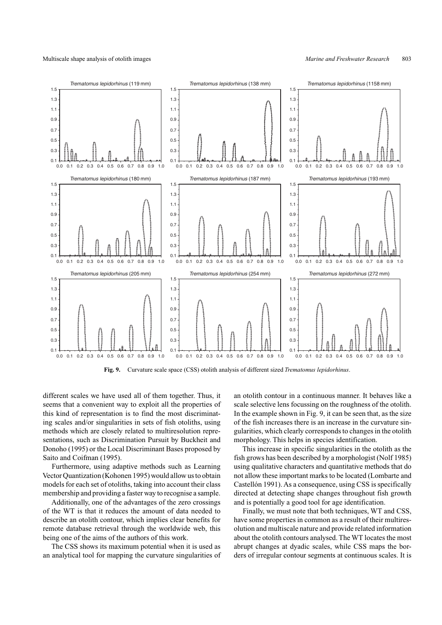

**Fig. 9.** Curvature scale space (CSS) otolith analysis of different sized *Trematomus lepidorhinus*.

different scales we have used all of them together. Thus, it seems that a convenient way to exploit all the properties of this kind of representation is to find the most discriminating scales and/or singularities in sets of fish otoliths, using methods which are closely related to multiresolution representations, such as Discrimination Pursuit by Buckheit and Donoho (1995) or the Local Discriminant Bases proposed by Saito and Coifman (1995).

Furthermore, using adaptive methods such as Learning Vector Quantization (Kohonen 1995) would allow us to obtain models for each set of otoliths, taking into account their class membership and providing a faster way to recognise a sample.

Additionally, one of the advantages of the zero crossings of the WT is that it reduces the amount of data needed to describe an otolith contour, which implies clear benefits for remote database retrieval through the worldwide web, this being one of the aims of the authors of this work.

The CSS shows its maximum potential when it is used as an analytical tool for mapping the curvature singularities of an otolith contour in a continuous manner. It behaves like a scale selective lens focussing on the roughness of the otolith. In the example shown in Fig. 9, it can be seen that, as the size of the fish increases there is an increase in the curvature singularities, which clearly corresponds to changes in the otolith morphology. This helps in species identification.

This increase in specific singularities in the otolith as the fish grows has been described by a morphologist (Nolf 1985) using qualitative characters and quantitative methods that do not allow these important marks to be located (Lombarte and Castellón 1991). As a consequence, using CSS is specifically directed at detecting shape changes throughout fish growth and is potentially a good tool for age identification.

Finally, we must note that both techniques, WT and CSS, have some properties in common as a result of their multiresolution and multiscale nature and provide related information about the otolith contours analysed. The WT locates the most abrupt changes at dyadic scales, while CSS maps the borders of irregular contour segments at continuous scales. It is